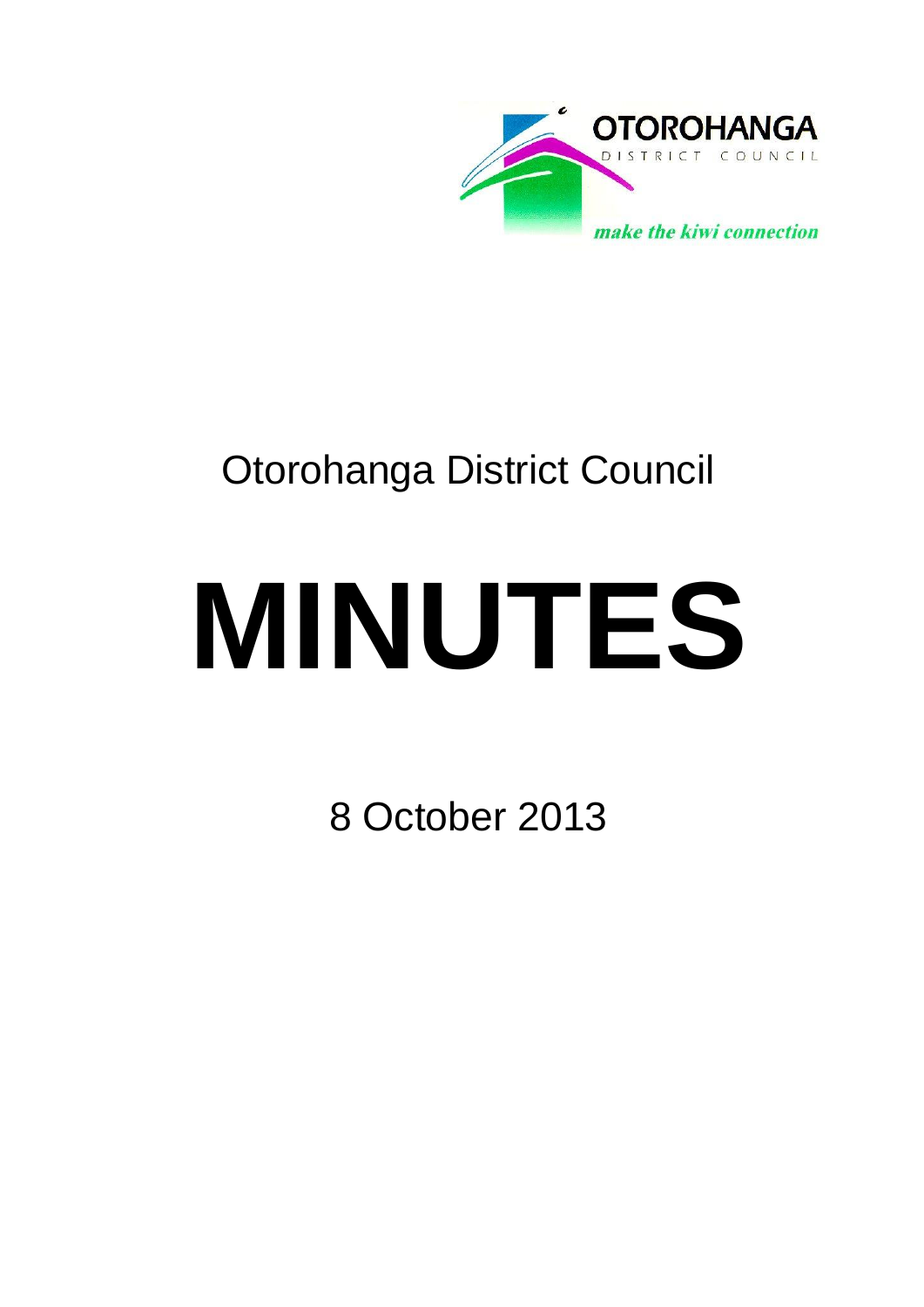

# Otorohanga District Council

# **MINUTES**

8 October 2013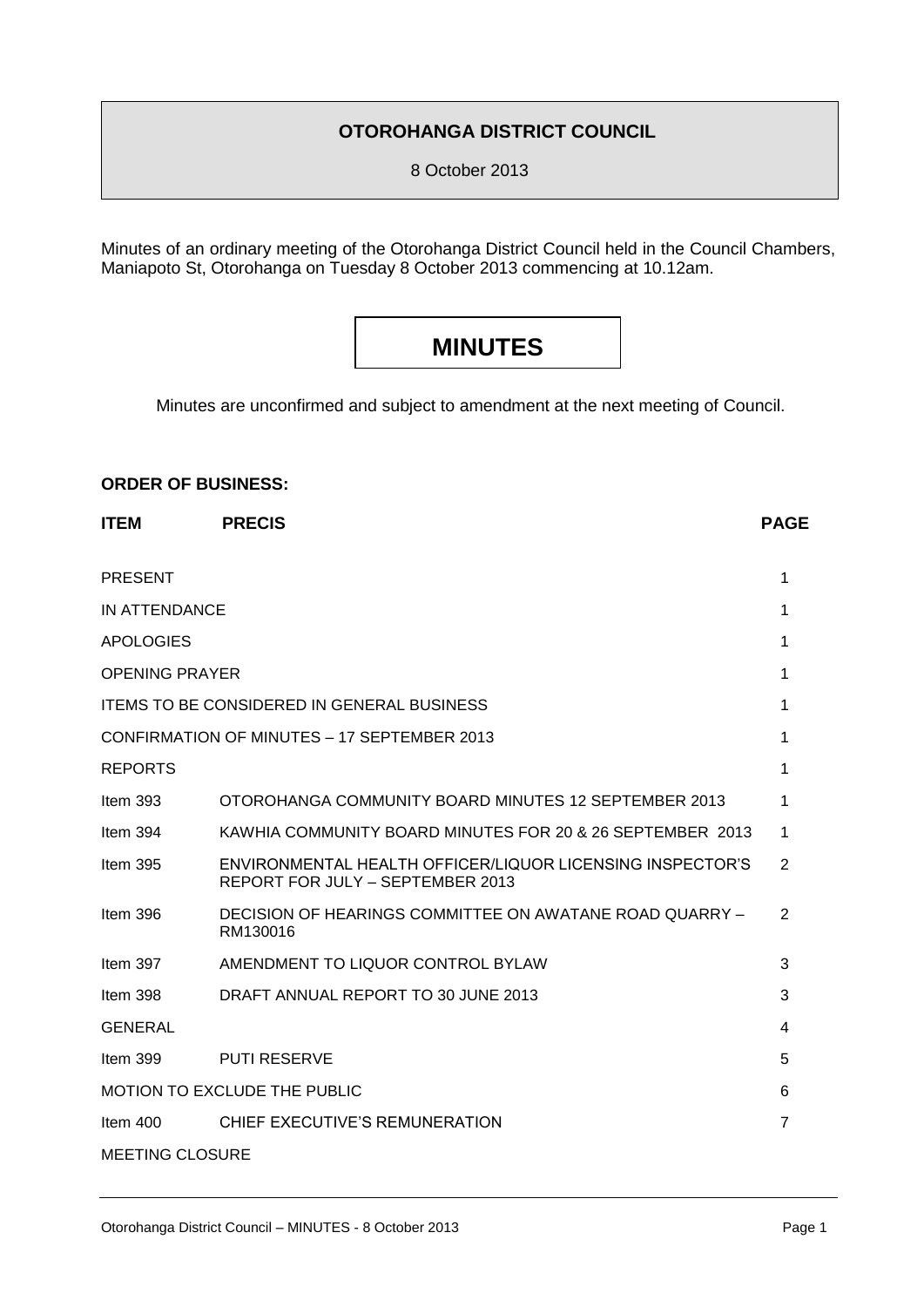### **OTOROHANGA DISTRICT COUNCIL**

8 October 2013

Minutes of an ordinary meeting of the Otorohanga District Council held in the Council Chambers, Maniapoto St, Otorohanga on Tuesday 8 October 2013 commencing at 10.12am.

## **MINUTES**

Minutes are unconfirmed and subject to amendment at the next meeting of Council.

#### **ORDER OF BUSINESS:**

| <b>ITEM</b>                                       | <b>PRECIS</b>                                                                                 | <b>PAGE</b>    |
|---------------------------------------------------|-----------------------------------------------------------------------------------------------|----------------|
| <b>PRESENT</b>                                    |                                                                                               | 1              |
| <b>IN ATTENDANCE</b>                              |                                                                                               | 1              |
| <b>APOLOGIES</b>                                  |                                                                                               | 1              |
| <b>OPENING PRAYER</b>                             |                                                                                               |                |
| <b>ITEMS TO BE CONSIDERED IN GENERAL BUSINESS</b> |                                                                                               |                |
|                                                   | CONFIRMATION OF MINUTES - 17 SEPTEMBER 2013                                                   | 1              |
| <b>REPORTS</b>                                    |                                                                                               | 1              |
| Item $393$                                        | OTOROHANGA COMMUNITY BOARD MINUTES 12 SEPTEMBER 2013                                          | 1              |
| Item $394$                                        | KAWHIA COMMUNITY BOARD MINUTES FOR 20 & 26 SEPTEMBER 2013                                     | 1              |
| Item $395$                                        | ENVIRONMENTAL HEALTH OFFICER/LIQUOR LICENSING INSPECTOR'S<br>REPORT FOR JULY - SEPTEMBER 2013 | 2              |
| Item $396$                                        | DECISION OF HEARINGS COMMITTEE ON AWATANE ROAD QUARRY -<br>RM130016                           | 2              |
| Item 397                                          | AMENDMENT TO LIQUOR CONTROL BYLAW                                                             | 3              |
| Item 398                                          | DRAFT ANNUAL REPORT TO 30 JUNE 2013                                                           | 3              |
| <b>GENERAL</b>                                    |                                                                                               | 4              |
| Item 399                                          | <b>PUTI RESERVE</b>                                                                           | 5              |
|                                                   | <b>MOTION TO EXCLUDE THE PUBLIC</b>                                                           | 6              |
| Item $400$                                        | CHIEF EXECUTIVE'S REMUNERATION                                                                | $\overline{7}$ |
| <b>MEETING CLOSURE</b>                            |                                                                                               |                |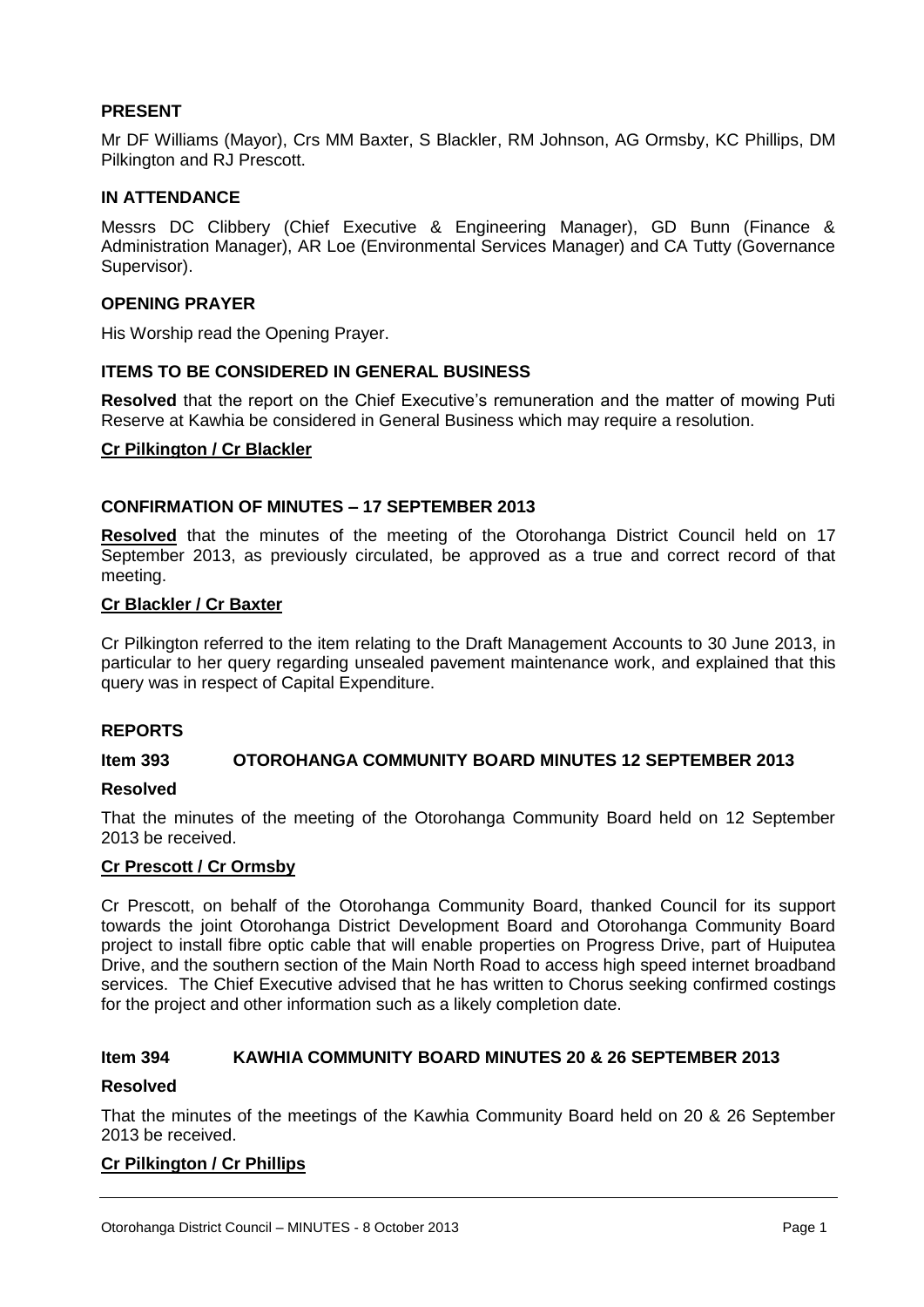#### **PRESENT**

Mr DF Williams (Mayor), Crs MM Baxter, S Blackler, RM Johnson, AG Ormsby, KC Phillips, DM Pilkington and RJ Prescott.

#### **IN ATTENDANCE**

Messrs DC Clibbery (Chief Executive & Engineering Manager), GD Bunn (Finance & Administration Manager), AR Loe (Environmental Services Manager) and CA Tutty (Governance Supervisor).

#### **OPENING PRAYER**

His Worship read the Opening Prayer.

#### **ITEMS TO BE CONSIDERED IN GENERAL BUSINESS**

**Resolved** that the report on the Chief Executive's remuneration and the matter of mowing Puti Reserve at Kawhia be considered in General Business which may require a resolution.

#### **Cr Pilkington / Cr Blackler**

#### **CONFIRMATION OF MINUTES – 17 SEPTEMBER 2013**

**Resolved** that the minutes of the meeting of the Otorohanga District Council held on 17 September 2013, as previously circulated, be approved as a true and correct record of that meeting.

#### **Cr Blackler / Cr Baxter**

Cr Pilkington referred to the item relating to the Draft Management Accounts to 30 June 2013, in particular to her query regarding unsealed pavement maintenance work, and explained that this query was in respect of Capital Expenditure.

#### **REPORTS**

#### **Item 393 OTOROHANGA COMMUNITY BOARD MINUTES 12 SEPTEMBER 2013**

#### **Resolved**

That the minutes of the meeting of the Otorohanga Community Board held on 12 September 2013 be received.

#### **Cr Prescott / Cr Ormsby**

Cr Prescott, on behalf of the Otorohanga Community Board, thanked Council for its support towards the joint Otorohanga District Development Board and Otorohanga Community Board project to install fibre optic cable that will enable properties on Progress Drive, part of Huiputea Drive, and the southern section of the Main North Road to access high speed internet broadband services. The Chief Executive advised that he has written to Chorus seeking confirmed costings for the project and other information such as a likely completion date.

#### **Item 394 KAWHIA COMMUNITY BOARD MINUTES 20 & 26 SEPTEMBER 2013**

#### **Resolved**

That the minutes of the meetings of the Kawhia Community Board held on 20 & 26 September 2013 be received.

#### **Cr Pilkington / Cr Phillips**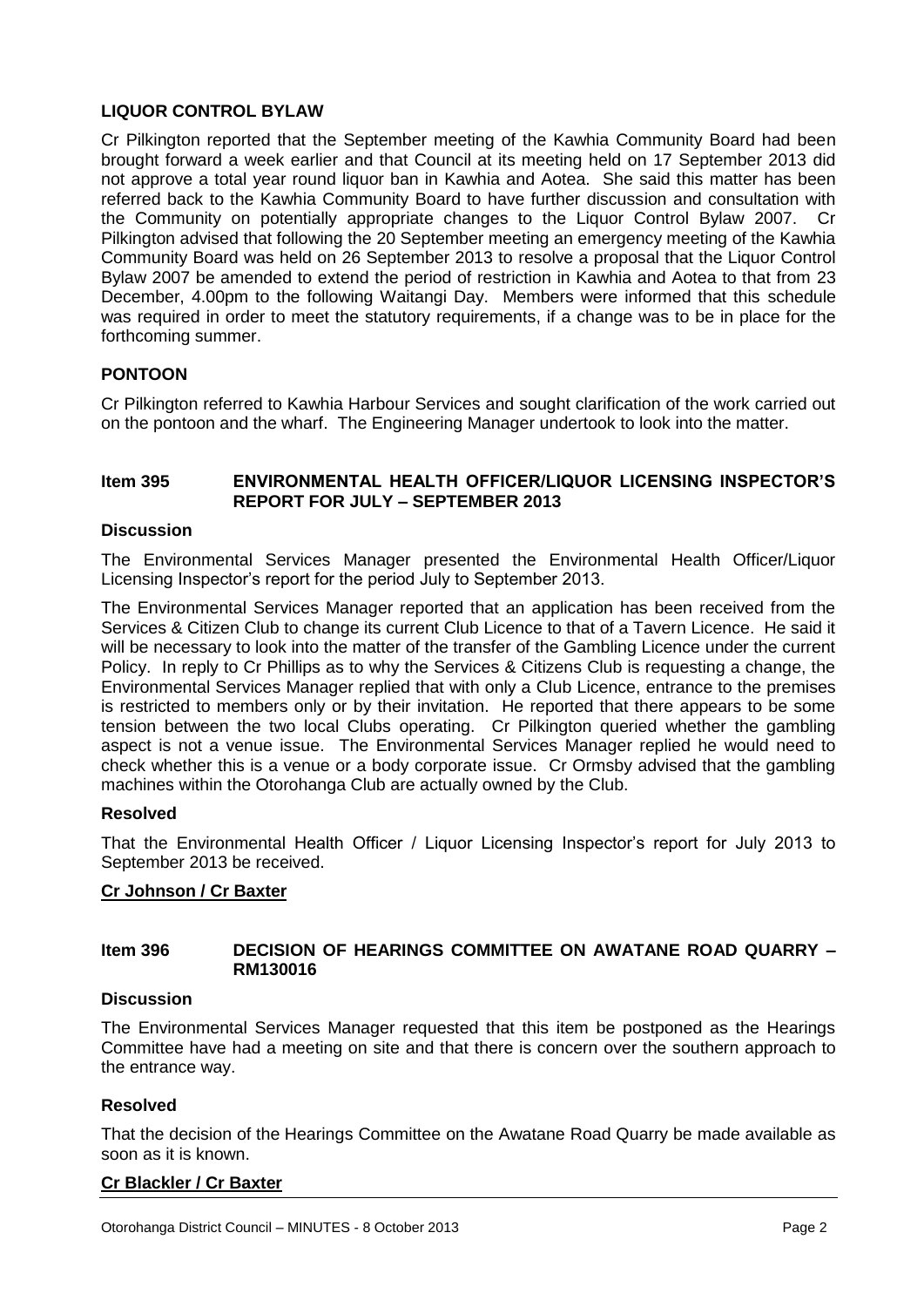#### **LIQUOR CONTROL BYLAW**

Cr Pilkington reported that the September meeting of the Kawhia Community Board had been brought forward a week earlier and that Council at its meeting held on 17 September 2013 did not approve a total year round liquor ban in Kawhia and Aotea. She said this matter has been referred back to the Kawhia Community Board to have further discussion and consultation with the Community on potentially appropriate changes to the Liquor Control Bylaw 2007. Cr Pilkington advised that following the 20 September meeting an emergency meeting of the Kawhia Community Board was held on 26 September 2013 to resolve a proposal that the Liquor Control Bylaw 2007 be amended to extend the period of restriction in Kawhia and Aotea to that from 23 December, 4.00pm to the following Waitangi Day. Members were informed that this schedule was required in order to meet the statutory requirements, if a change was to be in place for the forthcoming summer.

#### **PONTOON**

Cr Pilkington referred to Kawhia Harbour Services and sought clarification of the work carried out on the pontoon and the wharf. The Engineering Manager undertook to look into the matter.

#### **Item 395 ENVIRONMENTAL HEALTH OFFICER/LIQUOR LICENSING INSPECTOR'S REPORT FOR JULY – SEPTEMBER 2013**

#### **Discussion**

The Environmental Services Manager presented the Environmental Health Officer/Liquor Licensing Inspector's report for the period July to September 2013.

The Environmental Services Manager reported that an application has been received from the Services & Citizen Club to change its current Club Licence to that of a Tavern Licence. He said it will be necessary to look into the matter of the transfer of the Gambling Licence under the current Policy. In reply to Cr Phillips as to why the Services & Citizens Club is requesting a change, the Environmental Services Manager replied that with only a Club Licence, entrance to the premises is restricted to members only or by their invitation. He reported that there appears to be some tension between the two local Clubs operating. Cr Pilkington queried whether the gambling aspect is not a venue issue. The Environmental Services Manager replied he would need to check whether this is a venue or a body corporate issue. Cr Ormsby advised that the gambling machines within the Otorohanga Club are actually owned by the Club.

#### **Resolved**

That the Environmental Health Officer / Liquor Licensing Inspector's report for July 2013 to September 2013 be received.

#### **Cr Johnson / Cr Baxter**

#### **Item 396 DECISION OF HEARINGS COMMITTEE ON AWATANE ROAD QUARRY – RM130016**

#### **Discussion**

The Environmental Services Manager requested that this item be postponed as the Hearings Committee have had a meeting on site and that there is concern over the southern approach to the entrance way.

#### **Resolved**

That the decision of the Hearings Committee on the Awatane Road Quarry be made available as soon as it is known.

#### **Cr Blackler / Cr Baxter**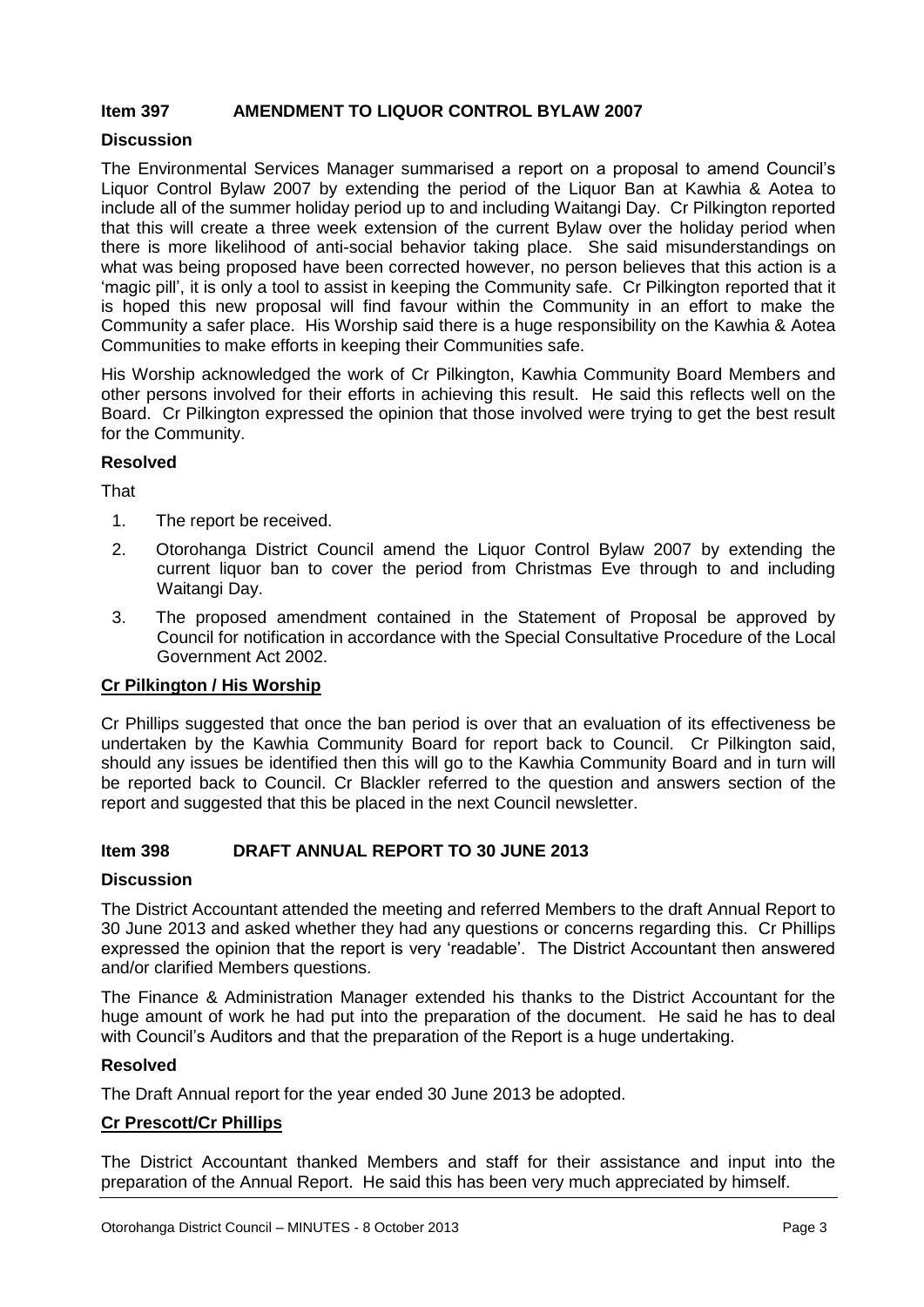#### **Item 397 AMENDMENT TO LIQUOR CONTROL BYLAW 2007**

#### **Discussion**

The Environmental Services Manager summarised a report on a proposal to amend Council's Liquor Control Bylaw 2007 by extending the period of the Liquor Ban at Kawhia & Aotea to include all of the summer holiday period up to and including Waitangi Day. Cr Pilkington reported that this will create a three week extension of the current Bylaw over the holiday period when there is more likelihood of anti-social behavior taking place. She said misunderstandings on what was being proposed have been corrected however, no person believes that this action is a 'magic pill', it is only a tool to assist in keeping the Community safe. Cr Pilkington reported that it is hoped this new proposal will find favour within the Community in an effort to make the Community a safer place. His Worship said there is a huge responsibility on the Kawhia & Aotea Communities to make efforts in keeping their Communities safe.

His Worship acknowledged the work of Cr Pilkington, Kawhia Community Board Members and other persons involved for their efforts in achieving this result. He said this reflects well on the Board. Cr Pilkington expressed the opinion that those involved were trying to get the best result for the Community.

#### **Resolved**

**That** 

- 1. The report be received.
- 2. Otorohanga District Council amend the Liquor Control Bylaw 2007 by extending the current liquor ban to cover the period from Christmas Eve through to and including Waitangi Day.
- 3. The proposed amendment contained in the Statement of Proposal be approved by Council for notification in accordance with the Special Consultative Procedure of the Local Government Act 2002.

#### **Cr Pilkington / His Worship**

Cr Phillips suggested that once the ban period is over that an evaluation of its effectiveness be undertaken by the Kawhia Community Board for report back to Council. Cr Pilkington said, should any issues be identified then this will go to the Kawhia Community Board and in turn will be reported back to Council. Cr Blackler referred to the question and answers section of the report and suggested that this be placed in the next Council newsletter.

#### **Item 398 DRAFT ANNUAL REPORT TO 30 JUNE 2013**

#### **Discussion**

The District Accountant attended the meeting and referred Members to the draft Annual Report to 30 June 2013 and asked whether they had any questions or concerns regarding this. Cr Phillips expressed the opinion that the report is very 'readable'. The District Accountant then answered and/or clarified Members questions.

The Finance & Administration Manager extended his thanks to the District Accountant for the huge amount of work he had put into the preparation of the document. He said he has to deal with Council's Auditors and that the preparation of the Report is a huge undertaking.

#### **Resolved**

The Draft Annual report for the year ended 30 June 2013 be adopted.

#### **Cr Prescott/Cr Phillips**

The District Accountant thanked Members and staff for their assistance and input into the preparation of the Annual Report. He said this has been very much appreciated by himself.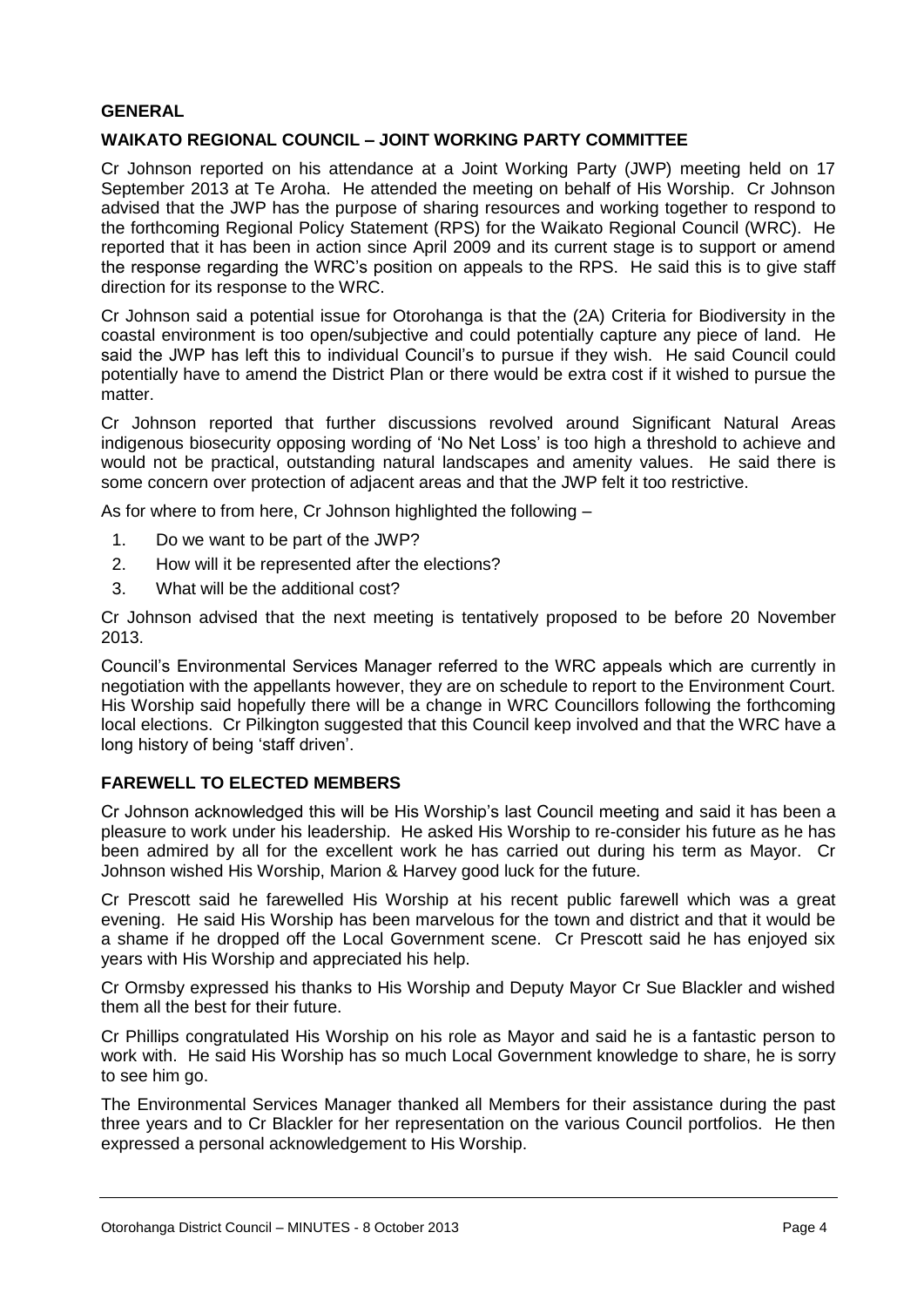#### **GENERAL**

#### **WAIKATO REGIONAL COUNCIL – JOINT WORKING PARTY COMMITTEE**

Cr Johnson reported on his attendance at a Joint Working Party (JWP) meeting held on 17 September 2013 at Te Aroha. He attended the meeting on behalf of His Worship. Cr Johnson advised that the JWP has the purpose of sharing resources and working together to respond to the forthcoming Regional Policy Statement (RPS) for the Waikato Regional Council (WRC). He reported that it has been in action since April 2009 and its current stage is to support or amend the response regarding the WRC's position on appeals to the RPS. He said this is to give staff direction for its response to the WRC.

Cr Johnson said a potential issue for Otorohanga is that the (2A) Criteria for Biodiversity in the coastal environment is too open/subjective and could potentially capture any piece of land. He said the JWP has left this to individual Council's to pursue if they wish. He said Council could potentially have to amend the District Plan or there would be extra cost if it wished to pursue the matter.

Cr Johnson reported that further discussions revolved around Significant Natural Areas indigenous biosecurity opposing wording of 'No Net Loss' is too high a threshold to achieve and would not be practical, outstanding natural landscapes and amenity values. He said there is some concern over protection of adjacent areas and that the JWP felt it too restrictive.

As for where to from here, Cr Johnson highlighted the following –

- 1. Do we want to be part of the JWP?
- 2. How will it be represented after the elections?
- 3. What will be the additional cost?

Cr Johnson advised that the next meeting is tentatively proposed to be before 20 November 2013.

Council's Environmental Services Manager referred to the WRC appeals which are currently in negotiation with the appellants however, they are on schedule to report to the Environment Court. His Worship said hopefully there will be a change in WRC Councillors following the forthcoming local elections. Cr Pilkington suggested that this Council keep involved and that the WRC have a long history of being 'staff driven'.

#### **FAREWELL TO ELECTED MEMBERS**

Cr Johnson acknowledged this will be His Worship's last Council meeting and said it has been a pleasure to work under his leadership. He asked His Worship to re-consider his future as he has been admired by all for the excellent work he has carried out during his term as Mayor. Cr Johnson wished His Worship, Marion & Harvey good luck for the future.

Cr Prescott said he farewelled His Worship at his recent public farewell which was a great evening. He said His Worship has been marvelous for the town and district and that it would be a shame if he dropped off the Local Government scene. Cr Prescott said he has enjoyed six years with His Worship and appreciated his help.

Cr Ormsby expressed his thanks to His Worship and Deputy Mayor Cr Sue Blackler and wished them all the best for their future.

Cr Phillips congratulated His Worship on his role as Mayor and said he is a fantastic person to work with. He said His Worship has so much Local Government knowledge to share, he is sorry to see him go.

The Environmental Services Manager thanked all Members for their assistance during the past three years and to Cr Blackler for her representation on the various Council portfolios. He then expressed a personal acknowledgement to His Worship.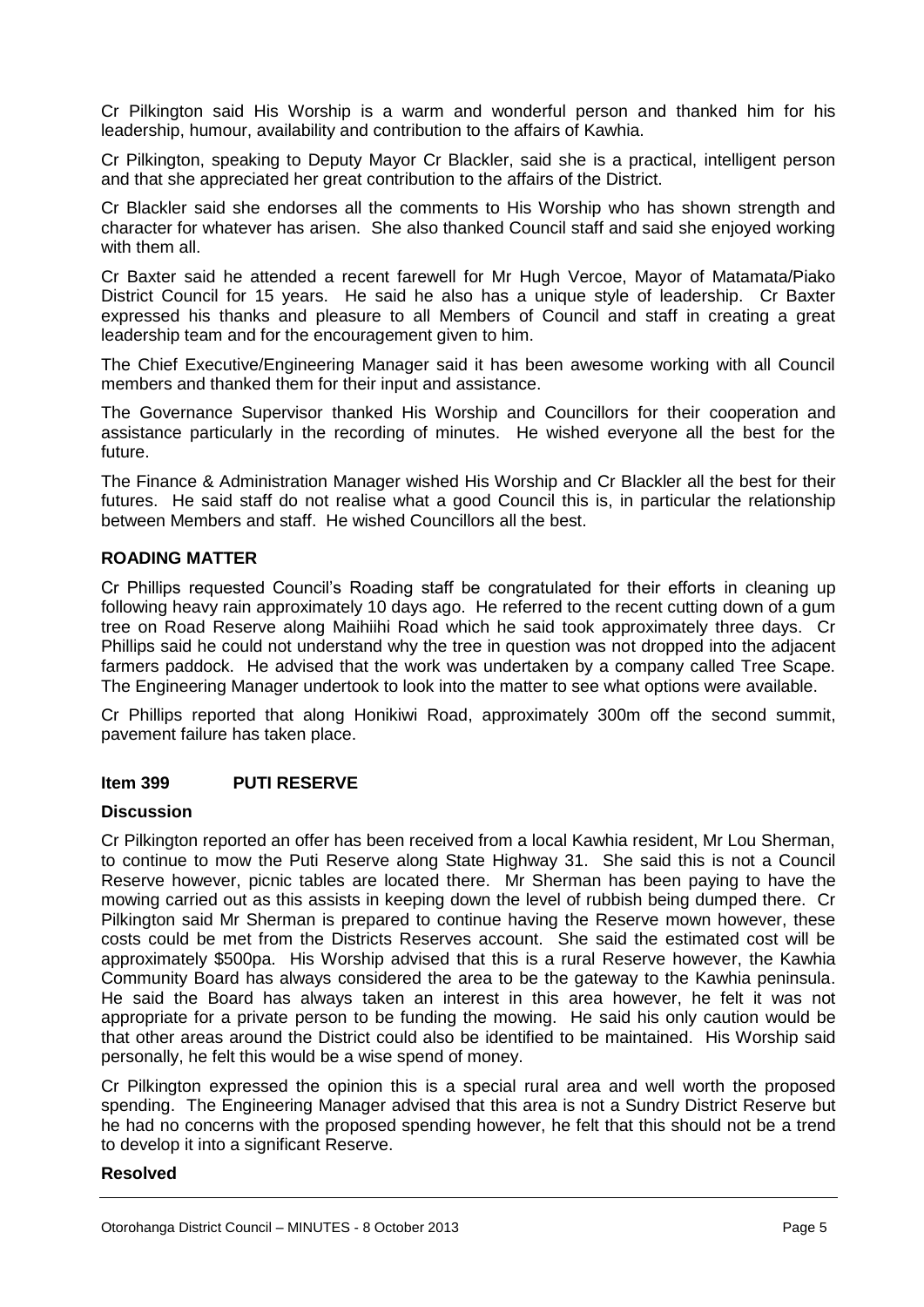Cr Pilkington said His Worship is a warm and wonderful person and thanked him for his leadership, humour, availability and contribution to the affairs of Kawhia.

Cr Pilkington, speaking to Deputy Mayor Cr Blackler, said she is a practical, intelligent person and that she appreciated her great contribution to the affairs of the District.

Cr Blackler said she endorses all the comments to His Worship who has shown strength and character for whatever has arisen. She also thanked Council staff and said she enjoyed working with them all.

Cr Baxter said he attended a recent farewell for Mr Hugh Vercoe, Mayor of Matamata/Piako District Council for 15 years. He said he also has a unique style of leadership. Cr Baxter expressed his thanks and pleasure to all Members of Council and staff in creating a great leadership team and for the encouragement given to him.

The Chief Executive/Engineering Manager said it has been awesome working with all Council members and thanked them for their input and assistance.

The Governance Supervisor thanked His Worship and Councillors for their cooperation and assistance particularly in the recording of minutes. He wished everyone all the best for the future.

The Finance & Administration Manager wished His Worship and Cr Blackler all the best for their futures. He said staff do not realise what a good Council this is, in particular the relationship between Members and staff. He wished Councillors all the best.

#### **ROADING MATTER**

Cr Phillips requested Council's Roading staff be congratulated for their efforts in cleaning up following heavy rain approximately 10 days ago. He referred to the recent cutting down of a gum tree on Road Reserve along Maihiihi Road which he said took approximately three days. Cr Phillips said he could not understand why the tree in question was not dropped into the adjacent farmers paddock. He advised that the work was undertaken by a company called Tree Scape. The Engineering Manager undertook to look into the matter to see what options were available.

Cr Phillips reported that along Honikiwi Road, approximately 300m off the second summit, pavement failure has taken place.

#### **Item 399 PUTI RESERVE**

#### **Discussion**

Cr Pilkington reported an offer has been received from a local Kawhia resident, Mr Lou Sherman, to continue to mow the Puti Reserve along State Highway 31. She said this is not a Council Reserve however, picnic tables are located there. Mr Sherman has been paying to have the mowing carried out as this assists in keeping down the level of rubbish being dumped there. Cr Pilkington said Mr Sherman is prepared to continue having the Reserve mown however, these costs could be met from the Districts Reserves account. She said the estimated cost will be approximately \$500pa. His Worship advised that this is a rural Reserve however, the Kawhia Community Board has always considered the area to be the gateway to the Kawhia peninsula. He said the Board has always taken an interest in this area however, he felt it was not appropriate for a private person to be funding the mowing. He said his only caution would be that other areas around the District could also be identified to be maintained. His Worship said personally, he felt this would be a wise spend of money.

Cr Pilkington expressed the opinion this is a special rural area and well worth the proposed spending. The Engineering Manager advised that this area is not a Sundry District Reserve but he had no concerns with the proposed spending however, he felt that this should not be a trend to develop it into a significant Reserve.

#### **Resolved**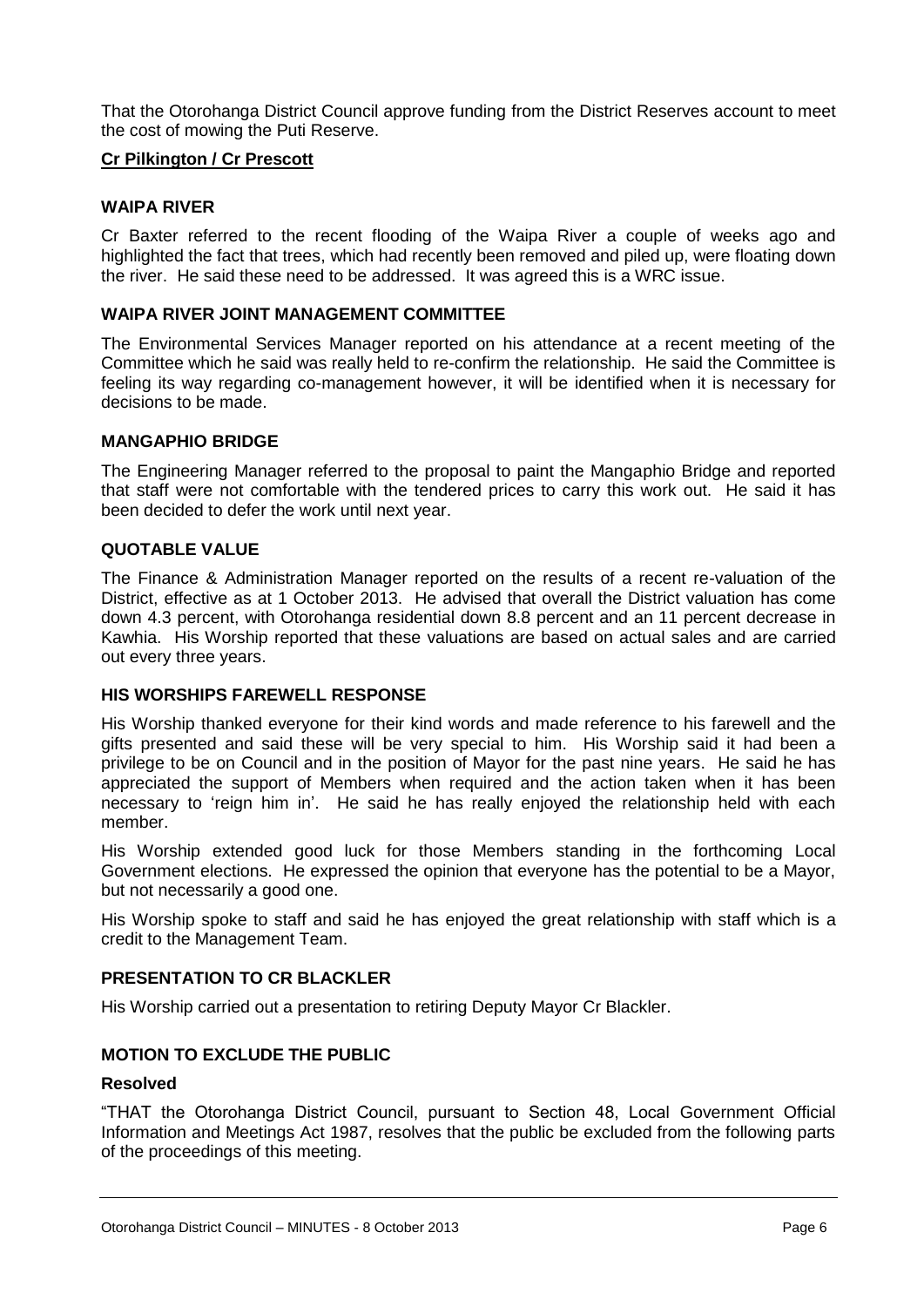That the Otorohanga District Council approve funding from the District Reserves account to meet the cost of mowing the Puti Reserve.

#### **Cr Pilkington / Cr Prescott**

#### **WAIPA RIVER**

Cr Baxter referred to the recent flooding of the Waipa River a couple of weeks ago and highlighted the fact that trees, which had recently been removed and piled up, were floating down the river. He said these need to be addressed. It was agreed this is a WRC issue.

#### **WAIPA RIVER JOINT MANAGEMENT COMMITTEE**

The Environmental Services Manager reported on his attendance at a recent meeting of the Committee which he said was really held to re-confirm the relationship. He said the Committee is feeling its way regarding co-management however, it will be identified when it is necessary for decisions to be made.

#### **MANGAPHIO BRIDGE**

The Engineering Manager referred to the proposal to paint the Mangaphio Bridge and reported that staff were not comfortable with the tendered prices to carry this work out. He said it has been decided to defer the work until next year.

#### **QUOTABLE VALUE**

The Finance & Administration Manager reported on the results of a recent re-valuation of the District, effective as at 1 October 2013. He advised that overall the District valuation has come down 4.3 percent, with Otorohanga residential down 8.8 percent and an 11 percent decrease in Kawhia. His Worship reported that these valuations are based on actual sales and are carried out every three years.

#### **HIS WORSHIPS FAREWELL RESPONSE**

His Worship thanked everyone for their kind words and made reference to his farewell and the gifts presented and said these will be very special to him. His Worship said it had been a privilege to be on Council and in the position of Mayor for the past nine years. He said he has appreciated the support of Members when required and the action taken when it has been necessary to 'reign him in'. He said he has really enjoyed the relationship held with each member.

His Worship extended good luck for those Members standing in the forthcoming Local Government elections. He expressed the opinion that everyone has the potential to be a Mayor, but not necessarily a good one.

His Worship spoke to staff and said he has enjoyed the great relationship with staff which is a credit to the Management Team.

#### **PRESENTATION TO CR BLACKLER**

His Worship carried out a presentation to retiring Deputy Mayor Cr Blackler.

#### **MOTION TO EXCLUDE THE PUBLIC**

#### **Resolved**

"THAT the Otorohanga District Council, pursuant to Section 48, Local Government Official Information and Meetings Act 1987, resolves that the public be excluded from the following parts of the proceedings of this meeting.